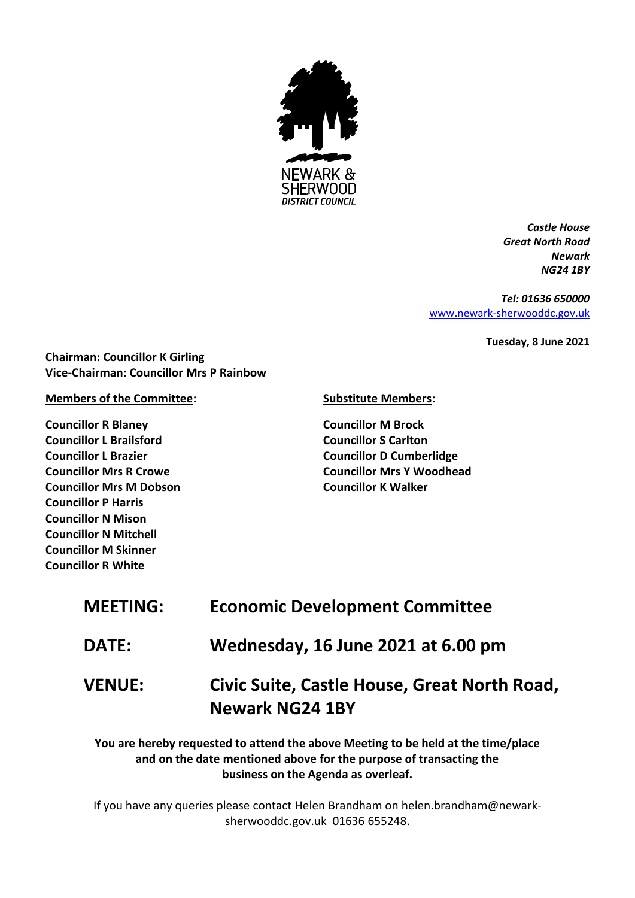

*Castle House Great North Road Newark NG24 1BY*

*Tel: 01636 650000* [www.newark-sherwooddc.gov.uk](http://www.newark-sherwooddc.gov.uk/)

**Tuesday, 8 June 2021**

**Chairman: Councillor K Girling Vice-Chairman: Councillor Mrs P Rainbow**

## **Members of the Committee:**

**Councillor R Blaney Councillor L Brailsford Councillor L Brazier Councillor Mrs R Crowe Councillor Mrs M Dobson Councillor P Harris Councillor N Mison Councillor N Mitchell Councillor M Skinner Councillor R White**

## **Substitute Members:**

**Councillor M Brock Councillor S Carlton Councillor D Cumberlidge Councillor Mrs Y Woodhead Councillor K Walker**

| <b>MEETING:</b>                                                                                                                                                                                | <b>Economic Development Committee</b>                                  |  |
|------------------------------------------------------------------------------------------------------------------------------------------------------------------------------------------------|------------------------------------------------------------------------|--|
| <b>DATE:</b>                                                                                                                                                                                   | Wednesday, 16 June 2021 at 6.00 pm                                     |  |
| <b>VENUE:</b>                                                                                                                                                                                  | Civic Suite, Castle House, Great North Road,<br><b>Newark NG24 1BY</b> |  |
| You are hereby requested to attend the above Meeting to be held at the time/place<br>and on the date mentioned above for the purpose of transacting the<br>business on the Agenda as overleaf. |                                                                        |  |
| If you have any queries please contact Helen Brandham on helen.brandham@newark-<br>sherwooddc.gov.uk 01636 655248.                                                                             |                                                                        |  |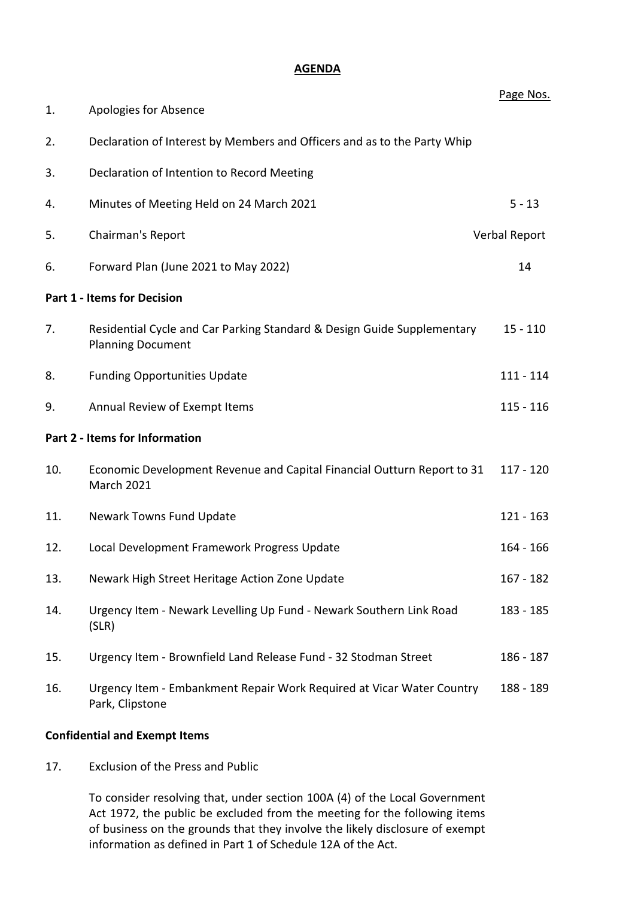## **AGENDA**

|                                    |                                                                                                     | Page Nos.   |  |  |
|------------------------------------|-----------------------------------------------------------------------------------------------------|-------------|--|--|
| 1.                                 | Apologies for Absence                                                                               |             |  |  |
| 2.                                 | Declaration of Interest by Members and Officers and as to the Party Whip                            |             |  |  |
| 3.                                 | Declaration of Intention to Record Meeting                                                          |             |  |  |
| 4.                                 | Minutes of Meeting Held on 24 March 2021                                                            | $5 - 13$    |  |  |
| 5.                                 | Chairman's Report<br>Verbal Report                                                                  |             |  |  |
| 6.                                 | Forward Plan (June 2021 to May 2022)                                                                | 14          |  |  |
| <b>Part 1 - Items for Decision</b> |                                                                                                     |             |  |  |
| 7.                                 | Residential Cycle and Car Parking Standard & Design Guide Supplementary<br><b>Planning Document</b> | $15 - 110$  |  |  |
| 8.                                 | <b>Funding Opportunities Update</b>                                                                 | $111 - 114$ |  |  |
| 9.                                 | Annual Review of Exempt Items                                                                       | $115 - 116$ |  |  |
| Part 2 - Items for Information     |                                                                                                     |             |  |  |
| 10.                                | Economic Development Revenue and Capital Financial Outturn Report to 31<br>March 2021               | $117 - 120$ |  |  |
| 11.                                | Newark Towns Fund Update                                                                            | $121 - 163$ |  |  |
| 12.                                | Local Development Framework Progress Update                                                         | $164 - 166$ |  |  |
| 13.                                | Newark High Street Heritage Action Zone Update                                                      | $167 - 182$ |  |  |
| 14.                                | Urgency Item - Newark Levelling Up Fund - Newark Southern Link Road<br>(SLR)                        | 183 - 185   |  |  |
| 15.                                | Urgency Item - Brownfield Land Release Fund - 32 Stodman Street                                     | 186 - 187   |  |  |
| 16.                                | Urgency Item - Embankment Repair Work Required at Vicar Water Country<br>Park, Clipstone            | 188 - 189   |  |  |

## **Confidential and Exempt Items**

17. Exclusion of the Press and Public

To consider resolving that, under section 100A (4) of the Local Government Act 1972, the public be excluded from the meeting for the following items of business on the grounds that they involve the likely disclosure of exempt information as defined in Part 1 of Schedule 12A of the Act.